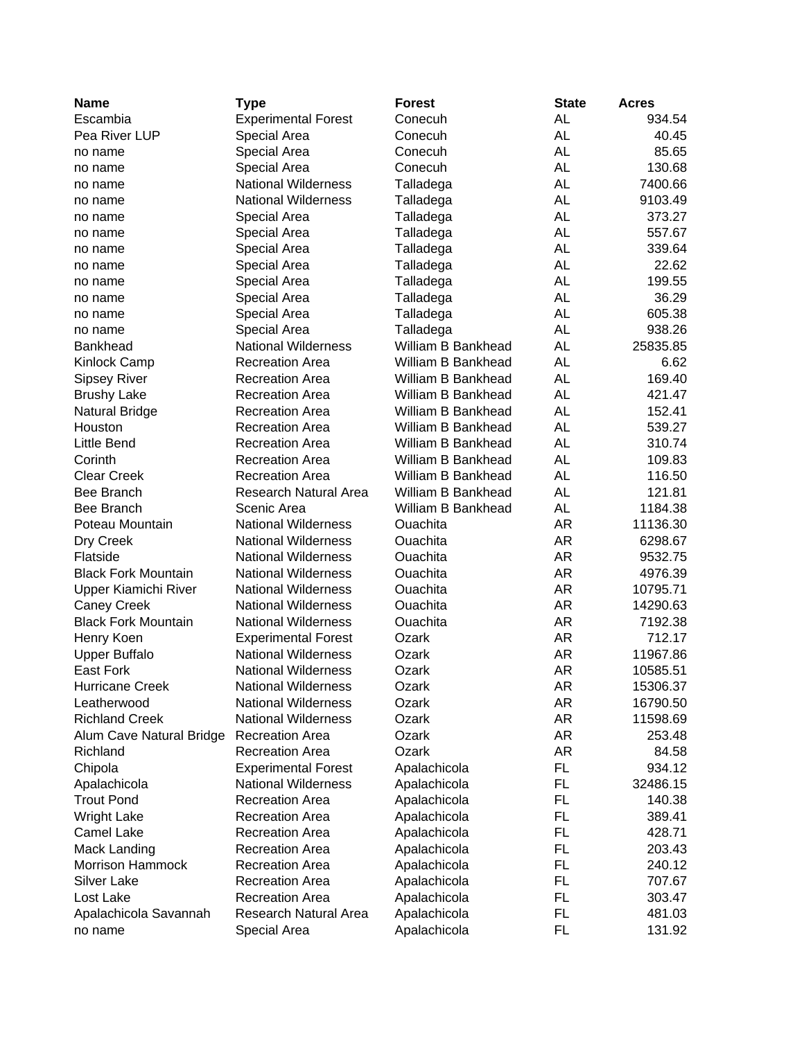| <b>Name</b>                | Type                       | <b>Forest</b>      | <b>State</b> | <b>Acres</b> |
|----------------------------|----------------------------|--------------------|--------------|--------------|
| Escambia                   | <b>Experimental Forest</b> | Conecuh            | AL           | 934.54       |
| Pea River LUP              | Special Area               | Conecuh            | <b>AL</b>    | 40.45        |
| no name                    | Special Area               | Conecuh            | <b>AL</b>    | 85.65        |
| no name                    | <b>Special Area</b>        | Conecuh            | <b>AL</b>    | 130.68       |
| no name                    | <b>National Wilderness</b> | Talladega          | <b>AL</b>    | 7400.66      |
| no name                    | <b>National Wilderness</b> | Talladega          | <b>AL</b>    | 9103.49      |
| no name                    | Special Area               | Talladega          | <b>AL</b>    | 373.27       |
| no name                    | Special Area               | Talladega          | <b>AL</b>    | 557.67       |
| no name                    | Special Area               | Talladega          | AL           | 339.64       |
| no name                    | Special Area               | Talladega          | <b>AL</b>    | 22.62        |
| no name                    | Special Area               | Talladega          | <b>AL</b>    | 199.55       |
| no name                    | Special Area               | Talladega          | <b>AL</b>    | 36.29        |
| no name                    | Special Area               | Talladega          | <b>AL</b>    | 605.38       |
| no name                    | Special Area               | Talladega          | <b>AL</b>    | 938.26       |
| <b>Bankhead</b>            | <b>National Wilderness</b> | William B Bankhead | <b>AL</b>    | 25835.85     |
| <b>Kinlock Camp</b>        | Recreation Area            | William B Bankhead | AL           | 6.62         |
| <b>Sipsey River</b>        | <b>Recreation Area</b>     | William B Bankhead | AL           | 169.40       |
| <b>Brushy Lake</b>         | <b>Recreation Area</b>     | William B Bankhead | <b>AL</b>    | 421.47       |
| <b>Natural Bridge</b>      | <b>Recreation Area</b>     | William B Bankhead | AL           | 152.41       |
| Houston                    | <b>Recreation Area</b>     | William B Bankhead | <b>AL</b>    | 539.27       |
| Little Bend                | <b>Recreation Area</b>     | William B Bankhead | <b>AL</b>    | 310.74       |
| Corinth                    | <b>Recreation Area</b>     | William B Bankhead | <b>AL</b>    | 109.83       |
| <b>Clear Creek</b>         | <b>Recreation Area</b>     | William B Bankhead | <b>AL</b>    | 116.50       |
| Bee Branch                 | Research Natural Area      | William B Bankhead | <b>AL</b>    | 121.81       |
| <b>Bee Branch</b>          | Scenic Area                | William B Bankhead | <b>AL</b>    | 1184.38      |
| Poteau Mountain            | <b>National Wilderness</b> | Ouachita           | <b>AR</b>    | 11136.30     |
| Dry Creek                  | <b>National Wilderness</b> | Ouachita           | AR           | 6298.67      |
| Flatside                   | <b>National Wilderness</b> | Ouachita           | AR           | 9532.75      |
| <b>Black Fork Mountain</b> | <b>National Wilderness</b> | Ouachita           | AR           | 4976.39      |
| Upper Kiamichi River       | <b>National Wilderness</b> | Ouachita           | AR           | 10795.71     |
| <b>Caney Creek</b>         | <b>National Wilderness</b> | Ouachita           | AR           | 14290.63     |
| <b>Black Fork Mountain</b> | <b>National Wilderness</b> | Ouachita           | AR           | 7192.38      |
| Henry Koen                 | <b>Experimental Forest</b> | Ozark              | AR           | 712.17       |
| <b>Upper Buffalo</b>       | <b>National Wilderness</b> | Ozark              | AR           | 11967.86     |
| <b>East Fork</b>           | <b>National Wilderness</b> | Ozark              | AR           | 10585.51     |
| <b>Hurricane Creek</b>     | <b>National Wilderness</b> | Ozark              | <b>AR</b>    | 15306.37     |
| Leatherwood                | <b>National Wilderness</b> | Ozark              | AR           | 16790.50     |
| <b>Richland Creek</b>      | <b>National Wilderness</b> | Ozark              | AR           | 11598.69     |
| Alum Cave Natural Bridge   | <b>Recreation Area</b>     | Ozark              | AR           | 253.48       |
| Richland                   | <b>Recreation Area</b>     | Ozark              | AR           | 84.58        |
| Chipola                    | <b>Experimental Forest</b> | Apalachicola       | FL.          | 934.12       |
| Apalachicola               | <b>National Wilderness</b> | Apalachicola       | FL           | 32486.15     |
| <b>Trout Pond</b>          | <b>Recreation Area</b>     | Apalachicola       | <b>FL</b>    | 140.38       |
| <b>Wright Lake</b>         | <b>Recreation Area</b>     | Apalachicola       | <b>FL</b>    | 389.41       |
| Camel Lake                 | <b>Recreation Area</b>     | Apalachicola       | FL           | 428.71       |
| <b>Mack Landing</b>        | <b>Recreation Area</b>     | Apalachicola       | FL           | 203.43       |
| Morrison Hammock           | <b>Recreation Area</b>     | Apalachicola       | FL           | 240.12       |
| <b>Silver Lake</b>         | <b>Recreation Area</b>     | Apalachicola       | <b>FL</b>    | 707.67       |
| Lost Lake                  | <b>Recreation Area</b>     | Apalachicola       | <b>FL</b>    | 303.47       |
| Apalachicola Savannah      | Research Natural Area      | Apalachicola       | FL           | 481.03       |
| no name                    | Special Area               | Apalachicola       | FL           | 131.92       |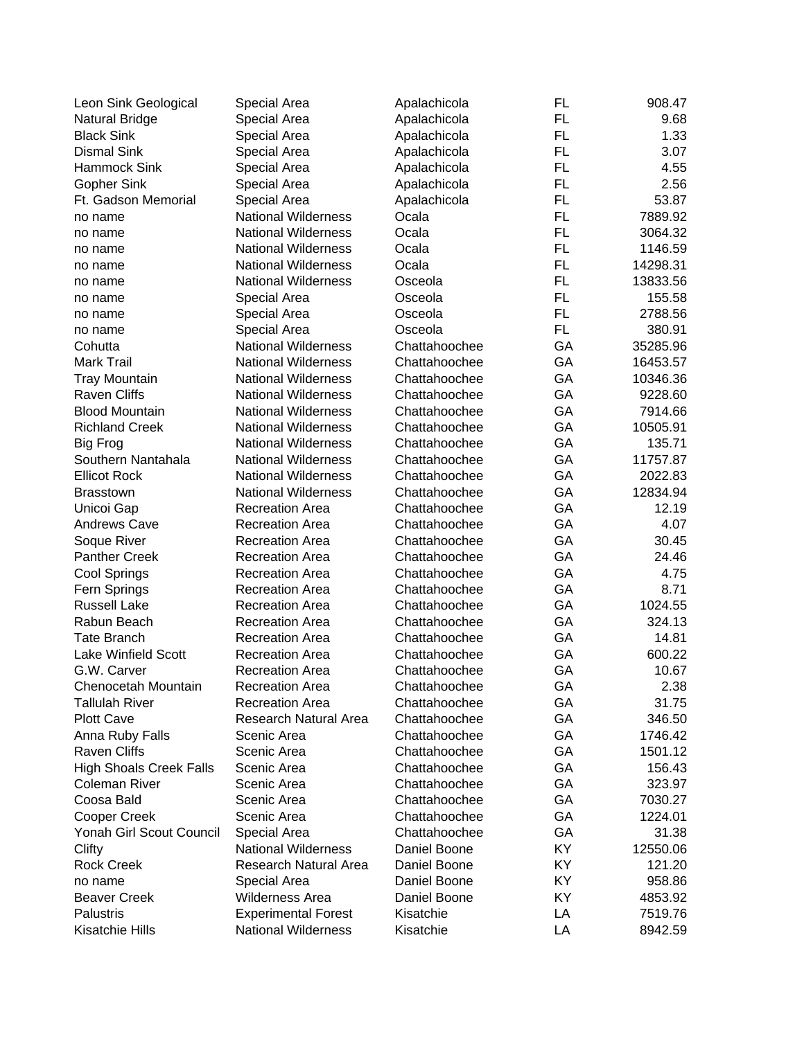| Leon Sink Geological           | Special Area               | Apalachicola  | FL        | 908.47   |
|--------------------------------|----------------------------|---------------|-----------|----------|
| <b>Natural Bridge</b>          | Special Area               | Apalachicola  | <b>FL</b> | 9.68     |
| <b>Black Sink</b>              | Special Area               | Apalachicola  | FL        | 1.33     |
| <b>Dismal Sink</b>             | Special Area               | Apalachicola  | <b>FL</b> | 3.07     |
| Hammock Sink                   | Special Area               | Apalachicola  | <b>FL</b> | 4.55     |
| <b>Gopher Sink</b>             | Special Area               | Apalachicola  | <b>FL</b> | 2.56     |
| Ft. Gadson Memorial            | Special Area               | Apalachicola  | <b>FL</b> | 53.87    |
| no name                        | <b>National Wilderness</b> | Ocala         | <b>FL</b> | 7889.92  |
| no name                        | <b>National Wilderness</b> | Ocala         | <b>FL</b> | 3064.32  |
| no name                        | <b>National Wilderness</b> | Ocala         | FL        | 1146.59  |
| no name                        | <b>National Wilderness</b> | Ocala         | <b>FL</b> | 14298.31 |
| no name                        | <b>National Wilderness</b> | Osceola       | FL        | 13833.56 |
| no name                        | Special Area               | Osceola       | FL        | 155.58   |
| no name                        | Special Area               | Osceola       | <b>FL</b> | 2788.56  |
| no name                        | Special Area               | Osceola       | <b>FL</b> | 380.91   |
| Cohutta                        | <b>National Wilderness</b> | Chattahoochee | GA        | 35285.96 |
| <b>Mark Trail</b>              | <b>National Wilderness</b> | Chattahoochee | GA        | 16453.57 |
| <b>Tray Mountain</b>           | <b>National Wilderness</b> | Chattahoochee | GA        | 10346.36 |
| <b>Raven Cliffs</b>            | <b>National Wilderness</b> | Chattahoochee | GA        | 9228.60  |
| <b>Blood Mountain</b>          | <b>National Wilderness</b> | Chattahoochee | GA        | 7914.66  |
| <b>Richland Creek</b>          | <b>National Wilderness</b> | Chattahoochee | GA        | 10505.91 |
| <b>Big Frog</b>                | <b>National Wilderness</b> | Chattahoochee | GA        | 135.71   |
| Southern Nantahala             | <b>National Wilderness</b> | Chattahoochee | GA        | 11757.87 |
| <b>Ellicot Rock</b>            | <b>National Wilderness</b> | Chattahoochee | GA        | 2022.83  |
| <b>Brasstown</b>               | <b>National Wilderness</b> | Chattahoochee | GA        | 12834.94 |
| Unicoi Gap                     | <b>Recreation Area</b>     | Chattahoochee | GA        | 12.19    |
| <b>Andrews Cave</b>            | <b>Recreation Area</b>     | Chattahoochee | GA        | 4.07     |
| Soque River                    | <b>Recreation Area</b>     | Chattahoochee | GA        | 30.45    |
| <b>Panther Creek</b>           | <b>Recreation Area</b>     | Chattahoochee | GA        | 24.46    |
| Cool Springs                   | <b>Recreation Area</b>     | Chattahoochee | GA        | 4.75     |
| Fern Springs                   | <b>Recreation Area</b>     | Chattahoochee | GA        | 8.71     |
| <b>Russell Lake</b>            | <b>Recreation Area</b>     | Chattahoochee | GA        | 1024.55  |
| Rabun Beach                    | <b>Recreation Area</b>     | Chattahoochee | GA        | 324.13   |
| <b>Tate Branch</b>             | <b>Recreation Area</b>     | Chattahoochee | GA        | 14.81    |
| <b>Lake Winfield Scott</b>     | <b>Recreation Area</b>     | Chattahoochee | GA        | 600.22   |
| G.W. Carver                    | <b>Recreation Area</b>     | Chattahoochee | GA        | 10.67    |
| Chenocetah Mountain            | <b>Recreation Area</b>     | Chattahoochee | GА        | 2.38     |
| <b>Tallulah River</b>          | <b>Recreation Area</b>     | Chattahoochee | GA        | 31.75    |
| <b>Plott Cave</b>              | Research Natural Area      | Chattahoochee | GA        | 346.50   |
| Anna Ruby Falls                | Scenic Area                | Chattahoochee | GA        | 1746.42  |
| <b>Raven Cliffs</b>            | Scenic Area                | Chattahoochee | GA        | 1501.12  |
| <b>High Shoals Creek Falls</b> | Scenic Area                | Chattahoochee | GA        | 156.43   |
| <b>Coleman River</b>           | Scenic Area                | Chattahoochee | GA        | 323.97   |
| Coosa Bald                     | Scenic Area                | Chattahoochee | GA        | 7030.27  |
| Cooper Creek                   | Scenic Area                | Chattahoochee | GA        | 1224.01  |
| Yonah Girl Scout Council       | Special Area               | Chattahoochee | GA        | 31.38    |
| Clifty                         | <b>National Wilderness</b> | Daniel Boone  | KY        | 12550.06 |
| <b>Rock Creek</b>              | Research Natural Area      | Daniel Boone  | KY        | 121.20   |
| no name                        | Special Area               | Daniel Boone  | KY        | 958.86   |
| <b>Beaver Creek</b>            | <b>Wilderness Area</b>     | Daniel Boone  | KY        | 4853.92  |
| <b>Palustris</b>               | <b>Experimental Forest</b> | Kisatchie     | LA        | 7519.76  |
| Kisatchie Hills                | <b>National Wilderness</b> | Kisatchie     | LA        | 8942.59  |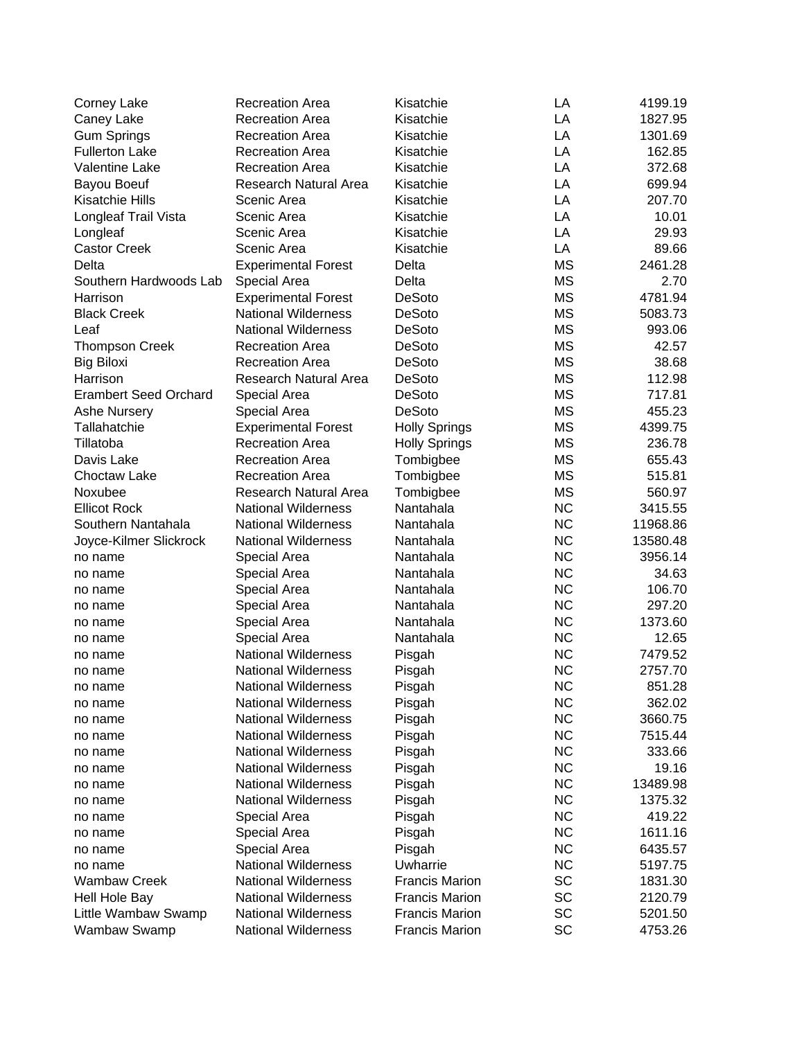| Corney Lake                    | <b>Recreation Area</b>                     | Kisatchie             | LA        | 4199.19            |
|--------------------------------|--------------------------------------------|-----------------------|-----------|--------------------|
| Caney Lake                     | <b>Recreation Area</b>                     | Kisatchie             | LA        | 1827.95            |
| <b>Gum Springs</b>             | <b>Recreation Area</b>                     | Kisatchie             | LA        | 1301.69            |
| <b>Fullerton Lake</b>          | <b>Recreation Area</b>                     | Kisatchie             | LA        | 162.85             |
| <b>Valentine Lake</b>          | <b>Recreation Area</b>                     | Kisatchie             | LA        | 372.68             |
| Bayou Boeuf                    | Research Natural Area                      | Kisatchie             | LA        | 699.94             |
| Kisatchie Hills                | Scenic Area                                | Kisatchie             | LA        | 207.70             |
| Longleaf Trail Vista           | Scenic Area                                | Kisatchie             | LA        | 10.01              |
| Longleaf                       | Scenic Area                                | Kisatchie             | LA        | 29.93              |
| <b>Castor Creek</b>            | Scenic Area                                | Kisatchie             | LA        | 89.66              |
| Delta                          | <b>Experimental Forest</b>                 | Delta                 | <b>MS</b> | 2461.28            |
| Southern Hardwoods Lab         | Special Area                               | Delta                 | MS        | 2.70               |
| Harrison                       | <b>Experimental Forest</b>                 | <b>DeSoto</b>         | <b>MS</b> | 4781.94            |
| <b>Black Creek</b>             | <b>National Wilderness</b>                 | <b>DeSoto</b>         | <b>MS</b> | 5083.73            |
| Leaf                           | <b>National Wilderness</b>                 | <b>DeSoto</b>         | <b>MS</b> | 993.06             |
| <b>Thompson Creek</b>          | <b>Recreation Area</b>                     | <b>DeSoto</b>         | <b>MS</b> | 42.57              |
| <b>Big Biloxi</b>              | <b>Recreation Area</b>                     | <b>DeSoto</b>         | <b>MS</b> | 38.68              |
| Harrison                       | <b>Research Natural Area</b>               | <b>DeSoto</b>         | <b>MS</b> | 112.98             |
| <b>Erambert Seed Orchard</b>   | Special Area                               | <b>DeSoto</b>         | <b>MS</b> | 717.81             |
| <b>Ashe Nursery</b>            | Special Area                               | <b>DeSoto</b>         | MS        | 455.23             |
| Tallahatchie                   | <b>Experimental Forest</b>                 | <b>Holly Springs</b>  | MS        | 4399.75            |
| Tillatoba                      | <b>Recreation Area</b>                     | <b>Holly Springs</b>  | <b>MS</b> | 236.78             |
| Davis Lake                     | <b>Recreation Area</b>                     | Tombigbee             | <b>MS</b> | 655.43             |
| Choctaw Lake                   | <b>Recreation Area</b>                     | Tombigbee             | <b>MS</b> | 515.81             |
| Noxubee                        | Research Natural Area                      | Tombigbee             | <b>MS</b> | 560.97             |
| <b>Ellicot Rock</b>            | <b>National Wilderness</b>                 | Nantahala             | <b>NC</b> | 3415.55            |
| Southern Nantahala             | <b>National Wilderness</b>                 | Nantahala             | <b>NC</b> | 11968.86           |
| Joyce-Kilmer Slickrock         | <b>National Wilderness</b>                 | Nantahala             | <b>NC</b> | 13580.48           |
| no name                        | Special Area                               | Nantahala             | <b>NC</b> | 3956.14            |
| no name                        | Special Area                               | Nantahala             | <b>NC</b> | 34.63              |
| no name                        | Special Area                               | Nantahala             | <b>NC</b> | 106.70             |
| no name                        | Special Area                               | Nantahala             | <b>NC</b> | 297.20             |
| no name                        | Special Area                               | Nantahala             | <b>NC</b> | 1373.60            |
| no name                        | Special Area                               | Nantahala             | <b>NC</b> | 12.65              |
| no name                        | <b>National Wilderness</b>                 | Pisgah                | <b>NC</b> | 7479.52            |
| no name                        | <b>National Wilderness</b>                 | Pisgah                | <b>NC</b> | 2757.70            |
|                                | <b>National Wilderness</b>                 | Pisgah                | <b>NC</b> | 851.28             |
| no name<br>no name             | <b>National Wilderness</b>                 | Pisgah                | <b>NC</b> | 362.02             |
| no name                        | <b>National Wilderness</b>                 | Pisgah                | <b>NC</b> | 3660.75            |
| no name                        | <b>National Wilderness</b>                 | Pisgah                | <b>NC</b> | 7515.44            |
| no name                        | <b>National Wilderness</b>                 | Pisgah                | <b>NC</b> | 333.66             |
| no name                        | <b>National Wilderness</b>                 | Pisgah                | <b>NC</b> | 19.16              |
| no name                        | <b>National Wilderness</b>                 | Pisgah                | <b>NC</b> | 13489.98           |
|                                | <b>National Wilderness</b>                 |                       | <b>NC</b> | 1375.32            |
| no name                        | Special Area                               | Pisgah<br>Pisgah      | <b>NC</b> | 419.22             |
| no name                        |                                            |                       | <b>NC</b> | 1611.16            |
| no name                        | Special Area                               | Pisgah<br>Pisgah      | <b>NC</b> | 6435.57            |
| no name                        | Special Area<br><b>National Wilderness</b> | Uwharrie              | <b>NC</b> |                    |
| no name<br><b>Wambaw Creek</b> | <b>National Wilderness</b>                 | <b>Francis Marion</b> | SC        | 5197.75<br>1831.30 |
|                                | <b>National Wilderness</b>                 | <b>Francis Marion</b> | SC        | 2120.79            |
| <b>Hell Hole Bay</b>           | <b>National Wilderness</b>                 | <b>Francis Marion</b> | SC        | 5201.50            |
| Little Wambaw Swamp            |                                            |                       | SC        |                    |
| Wambaw Swamp                   | <b>National Wilderness</b>                 | <b>Francis Marion</b> |           | 4753.26            |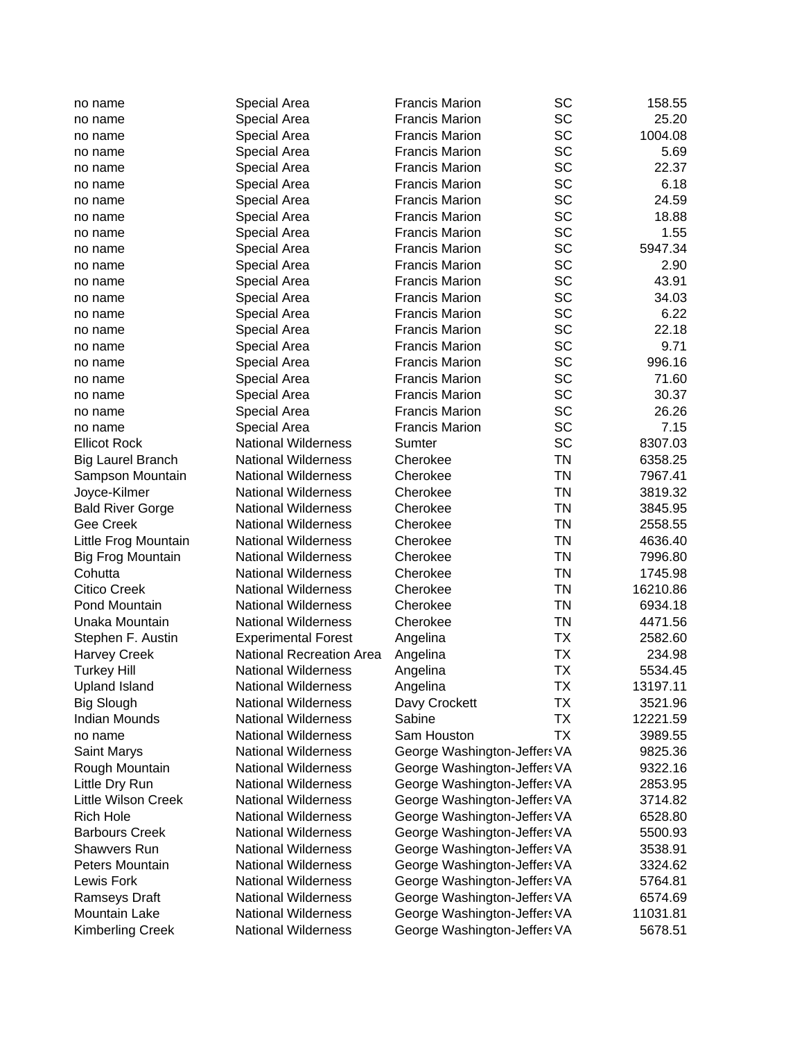| SC<br>25.20<br>Special Area<br><b>Francis Marion</b><br>no name<br>SC<br><b>Francis Marion</b><br>1004.08<br>Special Area<br>no name<br><b>SC</b><br>5.69<br><b>Francis Marion</b><br>Special Area<br>no name<br><b>SC</b><br><b>Francis Marion</b><br>22.37<br>Special Area<br>no name<br>SC<br>6.18<br><b>Francis Marion</b><br>Special Area<br>no name<br>SC<br>24.59<br>Special Area<br><b>Francis Marion</b><br>no name<br>SC<br>18.88<br>Special Area<br><b>Francis Marion</b><br>no name<br>SC<br><b>Francis Marion</b><br>1.55<br>Special Area<br>no name<br>SC<br>5947.34<br><b>Francis Marion</b><br>Special Area<br>no name<br>SC<br><b>Francis Marion</b><br>2.90<br>Special Area<br>no name<br><b>SC</b><br>43.91<br><b>Francis Marion</b><br>Special Area<br>no name<br><b>SC</b><br>Special Area<br><b>Francis Marion</b><br>34.03<br>no name<br>SC<br>6.22<br>Special Area<br><b>Francis Marion</b><br>no name<br>SC<br>22.18<br>Special Area<br><b>Francis Marion</b><br>no name<br><b>SC</b><br>9.71<br>Special Area<br><b>Francis Marion</b><br>no name<br>SC<br>996.16<br><b>Francis Marion</b><br>Special Area<br>no name<br>SC<br>71.60<br><b>Francis Marion</b><br>Special Area<br>no name<br>SC<br><b>Francis Marion</b><br>30.37<br>Special Area<br>no name<br><b>SC</b><br><b>Francis Marion</b><br>26.26<br>Special Area<br>no name<br><b>SC</b><br><b>Francis Marion</b><br>7.15<br>Special Area<br>no name<br>SC<br><b>Ellicot Rock</b><br><b>National Wilderness</b><br>Sumter<br>8307.03<br><b>TN</b><br><b>National Wilderness</b><br>Cherokee<br>6358.25<br><b>Big Laurel Branch</b><br><b>TN</b><br><b>National Wilderness</b><br>Cherokee<br>7967.41<br>Sampson Mountain<br><b>TN</b><br>Joyce-Kilmer<br><b>National Wilderness</b><br>Cherokee<br>3819.32<br><b>TN</b><br><b>National Wilderness</b><br>Cherokee<br>3845.95<br><b>Bald River Gorge</b><br>Gee Creek<br><b>TN</b><br><b>National Wilderness</b><br>Cherokee<br>2558.55<br><b>TN</b><br>Little Frog Mountain<br><b>National Wilderness</b><br>Cherokee<br>4636.40<br><b>TN</b><br><b>National Wilderness</b><br>Cherokee<br><b>Big Frog Mountain</b><br>7996.80<br><b>TN</b><br>Cohutta<br><b>National Wilderness</b><br>Cherokee<br>1745.98<br><b>TN</b><br><b>Citico Creek</b><br><b>National Wilderness</b><br>Cherokee<br>16210.86<br><b>TN</b><br>Pond Mountain<br><b>National Wilderness</b><br>Cherokee<br>6934.18<br><b>TN</b><br>Unaka Mountain<br><b>National Wilderness</b><br>Cherokee<br>4471.56<br><b>TX</b><br><b>Experimental Forest</b><br>2582.60<br>Stephen F. Austin<br>Angelina<br>TX<br>234.98<br><b>National Recreation Area</b><br><b>Harvey Creek</b><br>Angelina<br><b>TX</b><br><b>Turkey Hill</b><br><b>National Wilderness</b><br>5534.45<br>Angelina<br><b>TX</b><br><b>National Wilderness</b><br>Angelina<br>13197.11<br><b>Upland Island</b><br>TX<br>3521.96<br><b>Big Slough</b><br><b>National Wilderness</b><br>Davy Crockett<br><b>Indian Mounds</b><br>Sabine<br>TX<br>12221.59<br><b>National Wilderness</b><br><b>TX</b><br><b>National Wilderness</b><br>Sam Houston<br>3989.55<br>no name<br><b>National Wilderness</b><br>George Washington-Jeffers VA<br>Saint Marys<br>9825.36<br>9322.16<br>Rough Mountain<br><b>National Wilderness</b><br>George Washington-Jeffers VA<br>Little Dry Run<br><b>National Wilderness</b><br>George Washington-Jeffers VA<br>2853.95<br><b>Little Wilson Creek</b><br><b>National Wilderness</b><br>George Washington-Jeffers VA<br>3714.82<br><b>Rich Hole</b><br>George Washington-Jeffers VA<br>6528.80<br><b>National Wilderness</b><br><b>Barbours Creek</b><br><b>National Wilderness</b><br>George Washington-Jeffers VA<br>5500.93<br><b>Shawvers Run</b><br><b>National Wilderness</b><br>George Washington-Jeffers VA<br>3538.91<br>George Washington-Jeffers VA<br>Peters Mountain<br><b>National Wilderness</b><br>3324.62<br>Lewis Fork<br><b>National Wilderness</b><br>George Washington-Jeffers VA<br>5764.81<br><b>National Wilderness</b><br>George Washington-Jeffers VA<br>6574.69<br><b>Ramseys Draft</b><br>Mountain Lake<br><b>National Wilderness</b><br>George Washington-Jeffers VA<br>11031.81<br>George Washington-Jeffers VA | no name                 | Special Area               | <b>Francis Marion</b> | SC | 158.55  |
|-------------------------------------------------------------------------------------------------------------------------------------------------------------------------------------------------------------------------------------------------------------------------------------------------------------------------------------------------------------------------------------------------------------------------------------------------------------------------------------------------------------------------------------------------------------------------------------------------------------------------------------------------------------------------------------------------------------------------------------------------------------------------------------------------------------------------------------------------------------------------------------------------------------------------------------------------------------------------------------------------------------------------------------------------------------------------------------------------------------------------------------------------------------------------------------------------------------------------------------------------------------------------------------------------------------------------------------------------------------------------------------------------------------------------------------------------------------------------------------------------------------------------------------------------------------------------------------------------------------------------------------------------------------------------------------------------------------------------------------------------------------------------------------------------------------------------------------------------------------------------------------------------------------------------------------------------------------------------------------------------------------------------------------------------------------------------------------------------------------------------------------------------------------------------------------------------------------------------------------------------------------------------------------------------------------------------------------------------------------------------------------------------------------------------------------------------------------------------------------------------------------------------------------------------------------------------------------------------------------------------------------------------------------------------------------------------------------------------------------------------------------------------------------------------------------------------------------------------------------------------------------------------------------------------------------------------------------------------------------------------------------------------------------------------------------------------------------------------------------------------------------------------------------------------------------------------------------------------------------------------------------------------------------------------------------------------------------------------------------------------------------------------------------------------------------------------------------------------------------------------------------------------------------------------------------------------------------------------------------------------------------------------------------------------------------------------------------------------------------------------------------------------------------------------------------------------------------------------------------------------------------------------------------------------------------------------------------------------------------------------------------------------------------------------------------------------------------------------------------------------------------------------------------------------------------------------------------------------------------------|-------------------------|----------------------------|-----------------------|----|---------|
|                                                                                                                                                                                                                                                                                                                                                                                                                                                                                                                                                                                                                                                                                                                                                                                                                                                                                                                                                                                                                                                                                                                                                                                                                                                                                                                                                                                                                                                                                                                                                                                                                                                                                                                                                                                                                                                                                                                                                                                                                                                                                                                                                                                                                                                                                                                                                                                                                                                                                                                                                                                                                                                                                                                                                                                                                                                                                                                                                                                                                                                                                                                                                                                                                                                                                                                                                                                                                                                                                                                                                                                                                                                                                                                                                                                                                                                                                                                                                                                                                                                                                                                                                                                                                                           |                         |                            |                       |    |         |
|                                                                                                                                                                                                                                                                                                                                                                                                                                                                                                                                                                                                                                                                                                                                                                                                                                                                                                                                                                                                                                                                                                                                                                                                                                                                                                                                                                                                                                                                                                                                                                                                                                                                                                                                                                                                                                                                                                                                                                                                                                                                                                                                                                                                                                                                                                                                                                                                                                                                                                                                                                                                                                                                                                                                                                                                                                                                                                                                                                                                                                                                                                                                                                                                                                                                                                                                                                                                                                                                                                                                                                                                                                                                                                                                                                                                                                                                                                                                                                                                                                                                                                                                                                                                                                           |                         |                            |                       |    |         |
|                                                                                                                                                                                                                                                                                                                                                                                                                                                                                                                                                                                                                                                                                                                                                                                                                                                                                                                                                                                                                                                                                                                                                                                                                                                                                                                                                                                                                                                                                                                                                                                                                                                                                                                                                                                                                                                                                                                                                                                                                                                                                                                                                                                                                                                                                                                                                                                                                                                                                                                                                                                                                                                                                                                                                                                                                                                                                                                                                                                                                                                                                                                                                                                                                                                                                                                                                                                                                                                                                                                                                                                                                                                                                                                                                                                                                                                                                                                                                                                                                                                                                                                                                                                                                                           |                         |                            |                       |    |         |
|                                                                                                                                                                                                                                                                                                                                                                                                                                                                                                                                                                                                                                                                                                                                                                                                                                                                                                                                                                                                                                                                                                                                                                                                                                                                                                                                                                                                                                                                                                                                                                                                                                                                                                                                                                                                                                                                                                                                                                                                                                                                                                                                                                                                                                                                                                                                                                                                                                                                                                                                                                                                                                                                                                                                                                                                                                                                                                                                                                                                                                                                                                                                                                                                                                                                                                                                                                                                                                                                                                                                                                                                                                                                                                                                                                                                                                                                                                                                                                                                                                                                                                                                                                                                                                           |                         |                            |                       |    |         |
|                                                                                                                                                                                                                                                                                                                                                                                                                                                                                                                                                                                                                                                                                                                                                                                                                                                                                                                                                                                                                                                                                                                                                                                                                                                                                                                                                                                                                                                                                                                                                                                                                                                                                                                                                                                                                                                                                                                                                                                                                                                                                                                                                                                                                                                                                                                                                                                                                                                                                                                                                                                                                                                                                                                                                                                                                                                                                                                                                                                                                                                                                                                                                                                                                                                                                                                                                                                                                                                                                                                                                                                                                                                                                                                                                                                                                                                                                                                                                                                                                                                                                                                                                                                                                                           |                         |                            |                       |    |         |
|                                                                                                                                                                                                                                                                                                                                                                                                                                                                                                                                                                                                                                                                                                                                                                                                                                                                                                                                                                                                                                                                                                                                                                                                                                                                                                                                                                                                                                                                                                                                                                                                                                                                                                                                                                                                                                                                                                                                                                                                                                                                                                                                                                                                                                                                                                                                                                                                                                                                                                                                                                                                                                                                                                                                                                                                                                                                                                                                                                                                                                                                                                                                                                                                                                                                                                                                                                                                                                                                                                                                                                                                                                                                                                                                                                                                                                                                                                                                                                                                                                                                                                                                                                                                                                           |                         |                            |                       |    |         |
|                                                                                                                                                                                                                                                                                                                                                                                                                                                                                                                                                                                                                                                                                                                                                                                                                                                                                                                                                                                                                                                                                                                                                                                                                                                                                                                                                                                                                                                                                                                                                                                                                                                                                                                                                                                                                                                                                                                                                                                                                                                                                                                                                                                                                                                                                                                                                                                                                                                                                                                                                                                                                                                                                                                                                                                                                                                                                                                                                                                                                                                                                                                                                                                                                                                                                                                                                                                                                                                                                                                                                                                                                                                                                                                                                                                                                                                                                                                                                                                                                                                                                                                                                                                                                                           |                         |                            |                       |    |         |
|                                                                                                                                                                                                                                                                                                                                                                                                                                                                                                                                                                                                                                                                                                                                                                                                                                                                                                                                                                                                                                                                                                                                                                                                                                                                                                                                                                                                                                                                                                                                                                                                                                                                                                                                                                                                                                                                                                                                                                                                                                                                                                                                                                                                                                                                                                                                                                                                                                                                                                                                                                                                                                                                                                                                                                                                                                                                                                                                                                                                                                                                                                                                                                                                                                                                                                                                                                                                                                                                                                                                                                                                                                                                                                                                                                                                                                                                                                                                                                                                                                                                                                                                                                                                                                           |                         |                            |                       |    |         |
|                                                                                                                                                                                                                                                                                                                                                                                                                                                                                                                                                                                                                                                                                                                                                                                                                                                                                                                                                                                                                                                                                                                                                                                                                                                                                                                                                                                                                                                                                                                                                                                                                                                                                                                                                                                                                                                                                                                                                                                                                                                                                                                                                                                                                                                                                                                                                                                                                                                                                                                                                                                                                                                                                                                                                                                                                                                                                                                                                                                                                                                                                                                                                                                                                                                                                                                                                                                                                                                                                                                                                                                                                                                                                                                                                                                                                                                                                                                                                                                                                                                                                                                                                                                                                                           |                         |                            |                       |    |         |
|                                                                                                                                                                                                                                                                                                                                                                                                                                                                                                                                                                                                                                                                                                                                                                                                                                                                                                                                                                                                                                                                                                                                                                                                                                                                                                                                                                                                                                                                                                                                                                                                                                                                                                                                                                                                                                                                                                                                                                                                                                                                                                                                                                                                                                                                                                                                                                                                                                                                                                                                                                                                                                                                                                                                                                                                                                                                                                                                                                                                                                                                                                                                                                                                                                                                                                                                                                                                                                                                                                                                                                                                                                                                                                                                                                                                                                                                                                                                                                                                                                                                                                                                                                                                                                           |                         |                            |                       |    |         |
|                                                                                                                                                                                                                                                                                                                                                                                                                                                                                                                                                                                                                                                                                                                                                                                                                                                                                                                                                                                                                                                                                                                                                                                                                                                                                                                                                                                                                                                                                                                                                                                                                                                                                                                                                                                                                                                                                                                                                                                                                                                                                                                                                                                                                                                                                                                                                                                                                                                                                                                                                                                                                                                                                                                                                                                                                                                                                                                                                                                                                                                                                                                                                                                                                                                                                                                                                                                                                                                                                                                                                                                                                                                                                                                                                                                                                                                                                                                                                                                                                                                                                                                                                                                                                                           |                         |                            |                       |    |         |
|                                                                                                                                                                                                                                                                                                                                                                                                                                                                                                                                                                                                                                                                                                                                                                                                                                                                                                                                                                                                                                                                                                                                                                                                                                                                                                                                                                                                                                                                                                                                                                                                                                                                                                                                                                                                                                                                                                                                                                                                                                                                                                                                                                                                                                                                                                                                                                                                                                                                                                                                                                                                                                                                                                                                                                                                                                                                                                                                                                                                                                                                                                                                                                                                                                                                                                                                                                                                                                                                                                                                                                                                                                                                                                                                                                                                                                                                                                                                                                                                                                                                                                                                                                                                                                           |                         |                            |                       |    |         |
|                                                                                                                                                                                                                                                                                                                                                                                                                                                                                                                                                                                                                                                                                                                                                                                                                                                                                                                                                                                                                                                                                                                                                                                                                                                                                                                                                                                                                                                                                                                                                                                                                                                                                                                                                                                                                                                                                                                                                                                                                                                                                                                                                                                                                                                                                                                                                                                                                                                                                                                                                                                                                                                                                                                                                                                                                                                                                                                                                                                                                                                                                                                                                                                                                                                                                                                                                                                                                                                                                                                                                                                                                                                                                                                                                                                                                                                                                                                                                                                                                                                                                                                                                                                                                                           |                         |                            |                       |    |         |
|                                                                                                                                                                                                                                                                                                                                                                                                                                                                                                                                                                                                                                                                                                                                                                                                                                                                                                                                                                                                                                                                                                                                                                                                                                                                                                                                                                                                                                                                                                                                                                                                                                                                                                                                                                                                                                                                                                                                                                                                                                                                                                                                                                                                                                                                                                                                                                                                                                                                                                                                                                                                                                                                                                                                                                                                                                                                                                                                                                                                                                                                                                                                                                                                                                                                                                                                                                                                                                                                                                                                                                                                                                                                                                                                                                                                                                                                                                                                                                                                                                                                                                                                                                                                                                           |                         |                            |                       |    |         |
|                                                                                                                                                                                                                                                                                                                                                                                                                                                                                                                                                                                                                                                                                                                                                                                                                                                                                                                                                                                                                                                                                                                                                                                                                                                                                                                                                                                                                                                                                                                                                                                                                                                                                                                                                                                                                                                                                                                                                                                                                                                                                                                                                                                                                                                                                                                                                                                                                                                                                                                                                                                                                                                                                                                                                                                                                                                                                                                                                                                                                                                                                                                                                                                                                                                                                                                                                                                                                                                                                                                                                                                                                                                                                                                                                                                                                                                                                                                                                                                                                                                                                                                                                                                                                                           |                         |                            |                       |    |         |
|                                                                                                                                                                                                                                                                                                                                                                                                                                                                                                                                                                                                                                                                                                                                                                                                                                                                                                                                                                                                                                                                                                                                                                                                                                                                                                                                                                                                                                                                                                                                                                                                                                                                                                                                                                                                                                                                                                                                                                                                                                                                                                                                                                                                                                                                                                                                                                                                                                                                                                                                                                                                                                                                                                                                                                                                                                                                                                                                                                                                                                                                                                                                                                                                                                                                                                                                                                                                                                                                                                                                                                                                                                                                                                                                                                                                                                                                                                                                                                                                                                                                                                                                                                                                                                           |                         |                            |                       |    |         |
|                                                                                                                                                                                                                                                                                                                                                                                                                                                                                                                                                                                                                                                                                                                                                                                                                                                                                                                                                                                                                                                                                                                                                                                                                                                                                                                                                                                                                                                                                                                                                                                                                                                                                                                                                                                                                                                                                                                                                                                                                                                                                                                                                                                                                                                                                                                                                                                                                                                                                                                                                                                                                                                                                                                                                                                                                                                                                                                                                                                                                                                                                                                                                                                                                                                                                                                                                                                                                                                                                                                                                                                                                                                                                                                                                                                                                                                                                                                                                                                                                                                                                                                                                                                                                                           |                         |                            |                       |    |         |
|                                                                                                                                                                                                                                                                                                                                                                                                                                                                                                                                                                                                                                                                                                                                                                                                                                                                                                                                                                                                                                                                                                                                                                                                                                                                                                                                                                                                                                                                                                                                                                                                                                                                                                                                                                                                                                                                                                                                                                                                                                                                                                                                                                                                                                                                                                                                                                                                                                                                                                                                                                                                                                                                                                                                                                                                                                                                                                                                                                                                                                                                                                                                                                                                                                                                                                                                                                                                                                                                                                                                                                                                                                                                                                                                                                                                                                                                                                                                                                                                                                                                                                                                                                                                                                           |                         |                            |                       |    |         |
|                                                                                                                                                                                                                                                                                                                                                                                                                                                                                                                                                                                                                                                                                                                                                                                                                                                                                                                                                                                                                                                                                                                                                                                                                                                                                                                                                                                                                                                                                                                                                                                                                                                                                                                                                                                                                                                                                                                                                                                                                                                                                                                                                                                                                                                                                                                                                                                                                                                                                                                                                                                                                                                                                                                                                                                                                                                                                                                                                                                                                                                                                                                                                                                                                                                                                                                                                                                                                                                                                                                                                                                                                                                                                                                                                                                                                                                                                                                                                                                                                                                                                                                                                                                                                                           |                         |                            |                       |    |         |
|                                                                                                                                                                                                                                                                                                                                                                                                                                                                                                                                                                                                                                                                                                                                                                                                                                                                                                                                                                                                                                                                                                                                                                                                                                                                                                                                                                                                                                                                                                                                                                                                                                                                                                                                                                                                                                                                                                                                                                                                                                                                                                                                                                                                                                                                                                                                                                                                                                                                                                                                                                                                                                                                                                                                                                                                                                                                                                                                                                                                                                                                                                                                                                                                                                                                                                                                                                                                                                                                                                                                                                                                                                                                                                                                                                                                                                                                                                                                                                                                                                                                                                                                                                                                                                           |                         |                            |                       |    |         |
|                                                                                                                                                                                                                                                                                                                                                                                                                                                                                                                                                                                                                                                                                                                                                                                                                                                                                                                                                                                                                                                                                                                                                                                                                                                                                                                                                                                                                                                                                                                                                                                                                                                                                                                                                                                                                                                                                                                                                                                                                                                                                                                                                                                                                                                                                                                                                                                                                                                                                                                                                                                                                                                                                                                                                                                                                                                                                                                                                                                                                                                                                                                                                                                                                                                                                                                                                                                                                                                                                                                                                                                                                                                                                                                                                                                                                                                                                                                                                                                                                                                                                                                                                                                                                                           |                         |                            |                       |    |         |
|                                                                                                                                                                                                                                                                                                                                                                                                                                                                                                                                                                                                                                                                                                                                                                                                                                                                                                                                                                                                                                                                                                                                                                                                                                                                                                                                                                                                                                                                                                                                                                                                                                                                                                                                                                                                                                                                                                                                                                                                                                                                                                                                                                                                                                                                                                                                                                                                                                                                                                                                                                                                                                                                                                                                                                                                                                                                                                                                                                                                                                                                                                                                                                                                                                                                                                                                                                                                                                                                                                                                                                                                                                                                                                                                                                                                                                                                                                                                                                                                                                                                                                                                                                                                                                           |                         |                            |                       |    |         |
|                                                                                                                                                                                                                                                                                                                                                                                                                                                                                                                                                                                                                                                                                                                                                                                                                                                                                                                                                                                                                                                                                                                                                                                                                                                                                                                                                                                                                                                                                                                                                                                                                                                                                                                                                                                                                                                                                                                                                                                                                                                                                                                                                                                                                                                                                                                                                                                                                                                                                                                                                                                                                                                                                                                                                                                                                                                                                                                                                                                                                                                                                                                                                                                                                                                                                                                                                                                                                                                                                                                                                                                                                                                                                                                                                                                                                                                                                                                                                                                                                                                                                                                                                                                                                                           |                         |                            |                       |    |         |
|                                                                                                                                                                                                                                                                                                                                                                                                                                                                                                                                                                                                                                                                                                                                                                                                                                                                                                                                                                                                                                                                                                                                                                                                                                                                                                                                                                                                                                                                                                                                                                                                                                                                                                                                                                                                                                                                                                                                                                                                                                                                                                                                                                                                                                                                                                                                                                                                                                                                                                                                                                                                                                                                                                                                                                                                                                                                                                                                                                                                                                                                                                                                                                                                                                                                                                                                                                                                                                                                                                                                                                                                                                                                                                                                                                                                                                                                                                                                                                                                                                                                                                                                                                                                                                           |                         |                            |                       |    |         |
|                                                                                                                                                                                                                                                                                                                                                                                                                                                                                                                                                                                                                                                                                                                                                                                                                                                                                                                                                                                                                                                                                                                                                                                                                                                                                                                                                                                                                                                                                                                                                                                                                                                                                                                                                                                                                                                                                                                                                                                                                                                                                                                                                                                                                                                                                                                                                                                                                                                                                                                                                                                                                                                                                                                                                                                                                                                                                                                                                                                                                                                                                                                                                                                                                                                                                                                                                                                                                                                                                                                                                                                                                                                                                                                                                                                                                                                                                                                                                                                                                                                                                                                                                                                                                                           |                         |                            |                       |    |         |
|                                                                                                                                                                                                                                                                                                                                                                                                                                                                                                                                                                                                                                                                                                                                                                                                                                                                                                                                                                                                                                                                                                                                                                                                                                                                                                                                                                                                                                                                                                                                                                                                                                                                                                                                                                                                                                                                                                                                                                                                                                                                                                                                                                                                                                                                                                                                                                                                                                                                                                                                                                                                                                                                                                                                                                                                                                                                                                                                                                                                                                                                                                                                                                                                                                                                                                                                                                                                                                                                                                                                                                                                                                                                                                                                                                                                                                                                                                                                                                                                                                                                                                                                                                                                                                           |                         |                            |                       |    |         |
|                                                                                                                                                                                                                                                                                                                                                                                                                                                                                                                                                                                                                                                                                                                                                                                                                                                                                                                                                                                                                                                                                                                                                                                                                                                                                                                                                                                                                                                                                                                                                                                                                                                                                                                                                                                                                                                                                                                                                                                                                                                                                                                                                                                                                                                                                                                                                                                                                                                                                                                                                                                                                                                                                                                                                                                                                                                                                                                                                                                                                                                                                                                                                                                                                                                                                                                                                                                                                                                                                                                                                                                                                                                                                                                                                                                                                                                                                                                                                                                                                                                                                                                                                                                                                                           |                         |                            |                       |    |         |
|                                                                                                                                                                                                                                                                                                                                                                                                                                                                                                                                                                                                                                                                                                                                                                                                                                                                                                                                                                                                                                                                                                                                                                                                                                                                                                                                                                                                                                                                                                                                                                                                                                                                                                                                                                                                                                                                                                                                                                                                                                                                                                                                                                                                                                                                                                                                                                                                                                                                                                                                                                                                                                                                                                                                                                                                                                                                                                                                                                                                                                                                                                                                                                                                                                                                                                                                                                                                                                                                                                                                                                                                                                                                                                                                                                                                                                                                                                                                                                                                                                                                                                                                                                                                                                           |                         |                            |                       |    |         |
|                                                                                                                                                                                                                                                                                                                                                                                                                                                                                                                                                                                                                                                                                                                                                                                                                                                                                                                                                                                                                                                                                                                                                                                                                                                                                                                                                                                                                                                                                                                                                                                                                                                                                                                                                                                                                                                                                                                                                                                                                                                                                                                                                                                                                                                                                                                                                                                                                                                                                                                                                                                                                                                                                                                                                                                                                                                                                                                                                                                                                                                                                                                                                                                                                                                                                                                                                                                                                                                                                                                                                                                                                                                                                                                                                                                                                                                                                                                                                                                                                                                                                                                                                                                                                                           |                         |                            |                       |    |         |
|                                                                                                                                                                                                                                                                                                                                                                                                                                                                                                                                                                                                                                                                                                                                                                                                                                                                                                                                                                                                                                                                                                                                                                                                                                                                                                                                                                                                                                                                                                                                                                                                                                                                                                                                                                                                                                                                                                                                                                                                                                                                                                                                                                                                                                                                                                                                                                                                                                                                                                                                                                                                                                                                                                                                                                                                                                                                                                                                                                                                                                                                                                                                                                                                                                                                                                                                                                                                                                                                                                                                                                                                                                                                                                                                                                                                                                                                                                                                                                                                                                                                                                                                                                                                                                           |                         |                            |                       |    |         |
|                                                                                                                                                                                                                                                                                                                                                                                                                                                                                                                                                                                                                                                                                                                                                                                                                                                                                                                                                                                                                                                                                                                                                                                                                                                                                                                                                                                                                                                                                                                                                                                                                                                                                                                                                                                                                                                                                                                                                                                                                                                                                                                                                                                                                                                                                                                                                                                                                                                                                                                                                                                                                                                                                                                                                                                                                                                                                                                                                                                                                                                                                                                                                                                                                                                                                                                                                                                                                                                                                                                                                                                                                                                                                                                                                                                                                                                                                                                                                                                                                                                                                                                                                                                                                                           |                         |                            |                       |    |         |
|                                                                                                                                                                                                                                                                                                                                                                                                                                                                                                                                                                                                                                                                                                                                                                                                                                                                                                                                                                                                                                                                                                                                                                                                                                                                                                                                                                                                                                                                                                                                                                                                                                                                                                                                                                                                                                                                                                                                                                                                                                                                                                                                                                                                                                                                                                                                                                                                                                                                                                                                                                                                                                                                                                                                                                                                                                                                                                                                                                                                                                                                                                                                                                                                                                                                                                                                                                                                                                                                                                                                                                                                                                                                                                                                                                                                                                                                                                                                                                                                                                                                                                                                                                                                                                           |                         |                            |                       |    |         |
|                                                                                                                                                                                                                                                                                                                                                                                                                                                                                                                                                                                                                                                                                                                                                                                                                                                                                                                                                                                                                                                                                                                                                                                                                                                                                                                                                                                                                                                                                                                                                                                                                                                                                                                                                                                                                                                                                                                                                                                                                                                                                                                                                                                                                                                                                                                                                                                                                                                                                                                                                                                                                                                                                                                                                                                                                                                                                                                                                                                                                                                                                                                                                                                                                                                                                                                                                                                                                                                                                                                                                                                                                                                                                                                                                                                                                                                                                                                                                                                                                                                                                                                                                                                                                                           |                         |                            |                       |    |         |
|                                                                                                                                                                                                                                                                                                                                                                                                                                                                                                                                                                                                                                                                                                                                                                                                                                                                                                                                                                                                                                                                                                                                                                                                                                                                                                                                                                                                                                                                                                                                                                                                                                                                                                                                                                                                                                                                                                                                                                                                                                                                                                                                                                                                                                                                                                                                                                                                                                                                                                                                                                                                                                                                                                                                                                                                                                                                                                                                                                                                                                                                                                                                                                                                                                                                                                                                                                                                                                                                                                                                                                                                                                                                                                                                                                                                                                                                                                                                                                                                                                                                                                                                                                                                                                           |                         |                            |                       |    |         |
|                                                                                                                                                                                                                                                                                                                                                                                                                                                                                                                                                                                                                                                                                                                                                                                                                                                                                                                                                                                                                                                                                                                                                                                                                                                                                                                                                                                                                                                                                                                                                                                                                                                                                                                                                                                                                                                                                                                                                                                                                                                                                                                                                                                                                                                                                                                                                                                                                                                                                                                                                                                                                                                                                                                                                                                                                                                                                                                                                                                                                                                                                                                                                                                                                                                                                                                                                                                                                                                                                                                                                                                                                                                                                                                                                                                                                                                                                                                                                                                                                                                                                                                                                                                                                                           |                         |                            |                       |    |         |
|                                                                                                                                                                                                                                                                                                                                                                                                                                                                                                                                                                                                                                                                                                                                                                                                                                                                                                                                                                                                                                                                                                                                                                                                                                                                                                                                                                                                                                                                                                                                                                                                                                                                                                                                                                                                                                                                                                                                                                                                                                                                                                                                                                                                                                                                                                                                                                                                                                                                                                                                                                                                                                                                                                                                                                                                                                                                                                                                                                                                                                                                                                                                                                                                                                                                                                                                                                                                                                                                                                                                                                                                                                                                                                                                                                                                                                                                                                                                                                                                                                                                                                                                                                                                                                           |                         |                            |                       |    |         |
|                                                                                                                                                                                                                                                                                                                                                                                                                                                                                                                                                                                                                                                                                                                                                                                                                                                                                                                                                                                                                                                                                                                                                                                                                                                                                                                                                                                                                                                                                                                                                                                                                                                                                                                                                                                                                                                                                                                                                                                                                                                                                                                                                                                                                                                                                                                                                                                                                                                                                                                                                                                                                                                                                                                                                                                                                                                                                                                                                                                                                                                                                                                                                                                                                                                                                                                                                                                                                                                                                                                                                                                                                                                                                                                                                                                                                                                                                                                                                                                                                                                                                                                                                                                                                                           |                         |                            |                       |    |         |
|                                                                                                                                                                                                                                                                                                                                                                                                                                                                                                                                                                                                                                                                                                                                                                                                                                                                                                                                                                                                                                                                                                                                                                                                                                                                                                                                                                                                                                                                                                                                                                                                                                                                                                                                                                                                                                                                                                                                                                                                                                                                                                                                                                                                                                                                                                                                                                                                                                                                                                                                                                                                                                                                                                                                                                                                                                                                                                                                                                                                                                                                                                                                                                                                                                                                                                                                                                                                                                                                                                                                                                                                                                                                                                                                                                                                                                                                                                                                                                                                                                                                                                                                                                                                                                           |                         |                            |                       |    |         |
|                                                                                                                                                                                                                                                                                                                                                                                                                                                                                                                                                                                                                                                                                                                                                                                                                                                                                                                                                                                                                                                                                                                                                                                                                                                                                                                                                                                                                                                                                                                                                                                                                                                                                                                                                                                                                                                                                                                                                                                                                                                                                                                                                                                                                                                                                                                                                                                                                                                                                                                                                                                                                                                                                                                                                                                                                                                                                                                                                                                                                                                                                                                                                                                                                                                                                                                                                                                                                                                                                                                                                                                                                                                                                                                                                                                                                                                                                                                                                                                                                                                                                                                                                                                                                                           |                         |                            |                       |    |         |
|                                                                                                                                                                                                                                                                                                                                                                                                                                                                                                                                                                                                                                                                                                                                                                                                                                                                                                                                                                                                                                                                                                                                                                                                                                                                                                                                                                                                                                                                                                                                                                                                                                                                                                                                                                                                                                                                                                                                                                                                                                                                                                                                                                                                                                                                                                                                                                                                                                                                                                                                                                                                                                                                                                                                                                                                                                                                                                                                                                                                                                                                                                                                                                                                                                                                                                                                                                                                                                                                                                                                                                                                                                                                                                                                                                                                                                                                                                                                                                                                                                                                                                                                                                                                                                           |                         |                            |                       |    |         |
|                                                                                                                                                                                                                                                                                                                                                                                                                                                                                                                                                                                                                                                                                                                                                                                                                                                                                                                                                                                                                                                                                                                                                                                                                                                                                                                                                                                                                                                                                                                                                                                                                                                                                                                                                                                                                                                                                                                                                                                                                                                                                                                                                                                                                                                                                                                                                                                                                                                                                                                                                                                                                                                                                                                                                                                                                                                                                                                                                                                                                                                                                                                                                                                                                                                                                                                                                                                                                                                                                                                                                                                                                                                                                                                                                                                                                                                                                                                                                                                                                                                                                                                                                                                                                                           |                         |                            |                       |    |         |
|                                                                                                                                                                                                                                                                                                                                                                                                                                                                                                                                                                                                                                                                                                                                                                                                                                                                                                                                                                                                                                                                                                                                                                                                                                                                                                                                                                                                                                                                                                                                                                                                                                                                                                                                                                                                                                                                                                                                                                                                                                                                                                                                                                                                                                                                                                                                                                                                                                                                                                                                                                                                                                                                                                                                                                                                                                                                                                                                                                                                                                                                                                                                                                                                                                                                                                                                                                                                                                                                                                                                                                                                                                                                                                                                                                                                                                                                                                                                                                                                                                                                                                                                                                                                                                           |                         |                            |                       |    |         |
|                                                                                                                                                                                                                                                                                                                                                                                                                                                                                                                                                                                                                                                                                                                                                                                                                                                                                                                                                                                                                                                                                                                                                                                                                                                                                                                                                                                                                                                                                                                                                                                                                                                                                                                                                                                                                                                                                                                                                                                                                                                                                                                                                                                                                                                                                                                                                                                                                                                                                                                                                                                                                                                                                                                                                                                                                                                                                                                                                                                                                                                                                                                                                                                                                                                                                                                                                                                                                                                                                                                                                                                                                                                                                                                                                                                                                                                                                                                                                                                                                                                                                                                                                                                                                                           |                         |                            |                       |    |         |
|                                                                                                                                                                                                                                                                                                                                                                                                                                                                                                                                                                                                                                                                                                                                                                                                                                                                                                                                                                                                                                                                                                                                                                                                                                                                                                                                                                                                                                                                                                                                                                                                                                                                                                                                                                                                                                                                                                                                                                                                                                                                                                                                                                                                                                                                                                                                                                                                                                                                                                                                                                                                                                                                                                                                                                                                                                                                                                                                                                                                                                                                                                                                                                                                                                                                                                                                                                                                                                                                                                                                                                                                                                                                                                                                                                                                                                                                                                                                                                                                                                                                                                                                                                                                                                           |                         |                            |                       |    |         |
|                                                                                                                                                                                                                                                                                                                                                                                                                                                                                                                                                                                                                                                                                                                                                                                                                                                                                                                                                                                                                                                                                                                                                                                                                                                                                                                                                                                                                                                                                                                                                                                                                                                                                                                                                                                                                                                                                                                                                                                                                                                                                                                                                                                                                                                                                                                                                                                                                                                                                                                                                                                                                                                                                                                                                                                                                                                                                                                                                                                                                                                                                                                                                                                                                                                                                                                                                                                                                                                                                                                                                                                                                                                                                                                                                                                                                                                                                                                                                                                                                                                                                                                                                                                                                                           |                         |                            |                       |    |         |
|                                                                                                                                                                                                                                                                                                                                                                                                                                                                                                                                                                                                                                                                                                                                                                                                                                                                                                                                                                                                                                                                                                                                                                                                                                                                                                                                                                                                                                                                                                                                                                                                                                                                                                                                                                                                                                                                                                                                                                                                                                                                                                                                                                                                                                                                                                                                                                                                                                                                                                                                                                                                                                                                                                                                                                                                                                                                                                                                                                                                                                                                                                                                                                                                                                                                                                                                                                                                                                                                                                                                                                                                                                                                                                                                                                                                                                                                                                                                                                                                                                                                                                                                                                                                                                           |                         |                            |                       |    |         |
|                                                                                                                                                                                                                                                                                                                                                                                                                                                                                                                                                                                                                                                                                                                                                                                                                                                                                                                                                                                                                                                                                                                                                                                                                                                                                                                                                                                                                                                                                                                                                                                                                                                                                                                                                                                                                                                                                                                                                                                                                                                                                                                                                                                                                                                                                                                                                                                                                                                                                                                                                                                                                                                                                                                                                                                                                                                                                                                                                                                                                                                                                                                                                                                                                                                                                                                                                                                                                                                                                                                                                                                                                                                                                                                                                                                                                                                                                                                                                                                                                                                                                                                                                                                                                                           |                         |                            |                       |    |         |
|                                                                                                                                                                                                                                                                                                                                                                                                                                                                                                                                                                                                                                                                                                                                                                                                                                                                                                                                                                                                                                                                                                                                                                                                                                                                                                                                                                                                                                                                                                                                                                                                                                                                                                                                                                                                                                                                                                                                                                                                                                                                                                                                                                                                                                                                                                                                                                                                                                                                                                                                                                                                                                                                                                                                                                                                                                                                                                                                                                                                                                                                                                                                                                                                                                                                                                                                                                                                                                                                                                                                                                                                                                                                                                                                                                                                                                                                                                                                                                                                                                                                                                                                                                                                                                           |                         |                            |                       |    |         |
|                                                                                                                                                                                                                                                                                                                                                                                                                                                                                                                                                                                                                                                                                                                                                                                                                                                                                                                                                                                                                                                                                                                                                                                                                                                                                                                                                                                                                                                                                                                                                                                                                                                                                                                                                                                                                                                                                                                                                                                                                                                                                                                                                                                                                                                                                                                                                                                                                                                                                                                                                                                                                                                                                                                                                                                                                                                                                                                                                                                                                                                                                                                                                                                                                                                                                                                                                                                                                                                                                                                                                                                                                                                                                                                                                                                                                                                                                                                                                                                                                                                                                                                                                                                                                                           |                         |                            |                       |    |         |
|                                                                                                                                                                                                                                                                                                                                                                                                                                                                                                                                                                                                                                                                                                                                                                                                                                                                                                                                                                                                                                                                                                                                                                                                                                                                                                                                                                                                                                                                                                                                                                                                                                                                                                                                                                                                                                                                                                                                                                                                                                                                                                                                                                                                                                                                                                                                                                                                                                                                                                                                                                                                                                                                                                                                                                                                                                                                                                                                                                                                                                                                                                                                                                                                                                                                                                                                                                                                                                                                                                                                                                                                                                                                                                                                                                                                                                                                                                                                                                                                                                                                                                                                                                                                                                           |                         |                            |                       |    |         |
|                                                                                                                                                                                                                                                                                                                                                                                                                                                                                                                                                                                                                                                                                                                                                                                                                                                                                                                                                                                                                                                                                                                                                                                                                                                                                                                                                                                                                                                                                                                                                                                                                                                                                                                                                                                                                                                                                                                                                                                                                                                                                                                                                                                                                                                                                                                                                                                                                                                                                                                                                                                                                                                                                                                                                                                                                                                                                                                                                                                                                                                                                                                                                                                                                                                                                                                                                                                                                                                                                                                                                                                                                                                                                                                                                                                                                                                                                                                                                                                                                                                                                                                                                                                                                                           | <b>Kimberling Creek</b> | <b>National Wilderness</b> |                       |    | 5678.51 |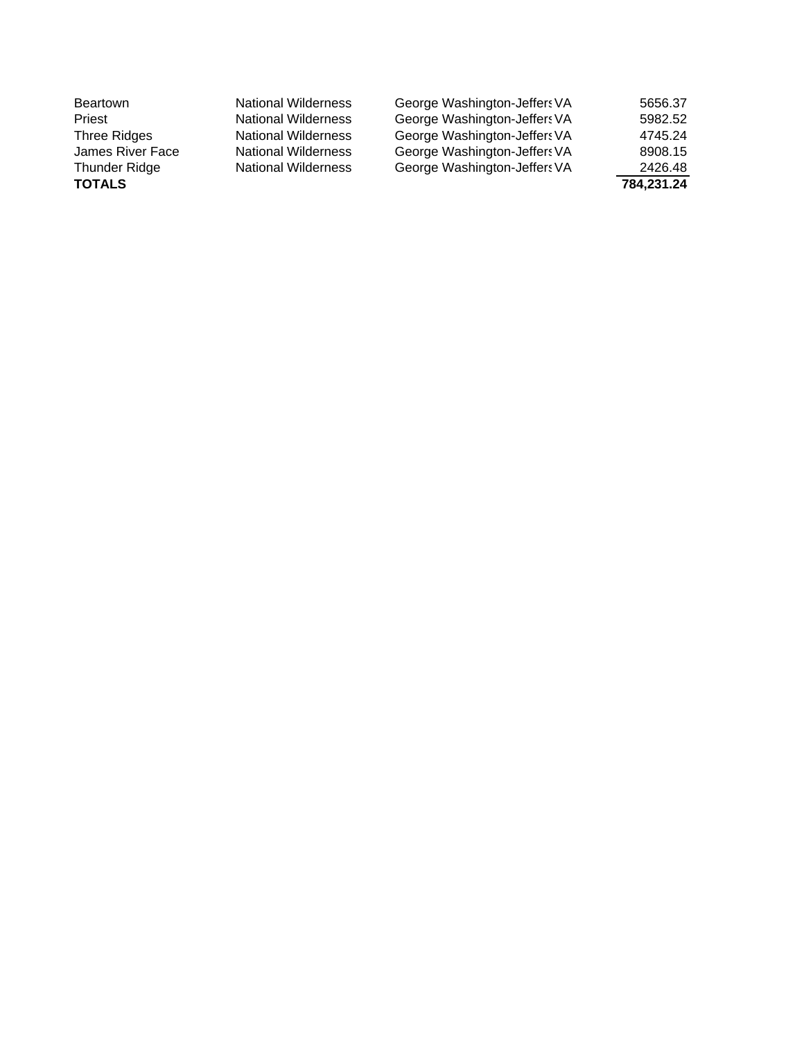| <b>Beartown</b>      | <b>National Wilderness</b> | George Washington-Jeffers VA | 5656.37    |
|----------------------|----------------------------|------------------------------|------------|
| Priest               | <b>National Wilderness</b> | George Washington-Jeffers VA | 5982.52    |
| Three Ridges         | <b>National Wilderness</b> | George Washington-Jeffers VA | 4745.24    |
| James River Face     | <b>National Wilderness</b> | George Washington-Jeffers VA | 8908.15    |
| <b>Thunder Ridge</b> | <b>National Wilderness</b> | George Washington-Jeffers VA | 2426.48    |
| <b>TOTALS</b>        |                            |                              | 784,231.24 |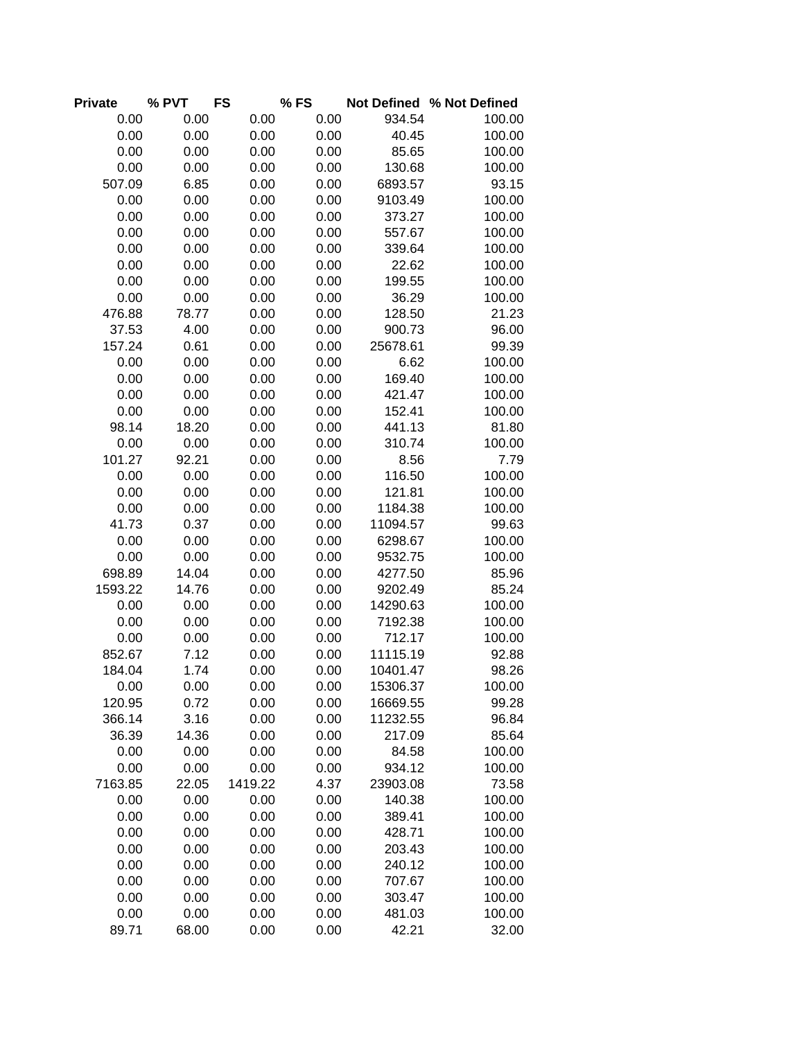| <b>Private</b> | % PVT | <b>FS</b> | %FS  |          | Not Defined % Not Defined |
|----------------|-------|-----------|------|----------|---------------------------|
| 0.00           | 0.00  | 0.00      | 0.00 | 934.54   | 100.00                    |
| 0.00           | 0.00  | 0.00      | 0.00 | 40.45    | 100.00                    |
| 0.00           | 0.00  | 0.00      | 0.00 | 85.65    | 100.00                    |
| 0.00           | 0.00  | 0.00      | 0.00 | 130.68   | 100.00                    |
| 507.09         | 6.85  | 0.00      | 0.00 | 6893.57  | 93.15                     |
| 0.00           | 0.00  | 0.00      | 0.00 | 9103.49  | 100.00                    |
| 0.00           | 0.00  | 0.00      | 0.00 | 373.27   | 100.00                    |
| 0.00           | 0.00  | 0.00      | 0.00 | 557.67   | 100.00                    |
| 0.00           | 0.00  | 0.00      | 0.00 | 339.64   | 100.00                    |
| 0.00           | 0.00  | 0.00      | 0.00 | 22.62    | 100.00                    |
| 0.00           | 0.00  | 0.00      | 0.00 | 199.55   | 100.00                    |
| 0.00           | 0.00  | 0.00      | 0.00 | 36.29    | 100.00                    |
| 476.88         | 78.77 | 0.00      | 0.00 | 128.50   | 21.23                     |
| 37.53          | 4.00  | 0.00      | 0.00 | 900.73   | 96.00                     |
| 157.24         | 0.61  | 0.00      | 0.00 | 25678.61 | 99.39                     |
| 0.00           | 0.00  | 0.00      | 0.00 | 6.62     | 100.00                    |
| 0.00           | 0.00  | 0.00      | 0.00 | 169.40   | 100.00                    |
| 0.00           | 0.00  | 0.00      | 0.00 | 421.47   | 100.00                    |
| 0.00           | 0.00  | 0.00      | 0.00 | 152.41   | 100.00                    |
| 98.14          | 18.20 | 0.00      | 0.00 | 441.13   | 81.80                     |
| 0.00           | 0.00  | 0.00      | 0.00 | 310.74   | 100.00                    |
| 101.27         | 92.21 | 0.00      | 0.00 | 8.56     | 7.79                      |
| 0.00           | 0.00  | 0.00      | 0.00 | 116.50   | 100.00                    |
| 0.00           | 0.00  | 0.00      | 0.00 | 121.81   | 100.00                    |
| 0.00           | 0.00  | 0.00      | 0.00 | 1184.38  | 100.00                    |
| 41.73          | 0.37  | 0.00      | 0.00 | 11094.57 | 99.63                     |
| 0.00           | 0.00  | 0.00      | 0.00 | 6298.67  | 100.00                    |
| 0.00           | 0.00  | 0.00      | 0.00 | 9532.75  | 100.00                    |
| 698.89         | 14.04 | 0.00      | 0.00 | 4277.50  | 85.96                     |
| 1593.22        | 14.76 | 0.00      | 0.00 | 9202.49  | 85.24                     |
| 0.00           | 0.00  | 0.00      | 0.00 | 14290.63 | 100.00                    |
| 0.00           | 0.00  | 0.00      | 0.00 | 7192.38  | 100.00                    |
| 0.00           | 0.00  | 0.00      | 0.00 | 712.17   | 100.00                    |
| 852.67         | 7.12  | 0.00      | 0.00 | 11115.19 | 92.88                     |
| 184.04         | 1.74  | 0.00      | 0.00 | 10401.47 | 98.26                     |
| 0.00           | 0.00  | 0.00      | 0.00 | 15306.37 | 100.00                    |
| 120.95         | 0.72  | 0.00      | 0.00 | 16669.55 | 99.28                     |
| 366.14         | 3.16  | 0.00      | 0.00 | 11232.55 | 96.84                     |
| 36.39          | 14.36 | 0.00      | 0.00 | 217.09   | 85.64                     |
| 0.00           | 0.00  | 0.00      | 0.00 | 84.58    | 100.00                    |
| 0.00           | 0.00  | 0.00      | 0.00 | 934.12   | 100.00                    |
| 7163.85        | 22.05 | 1419.22   | 4.37 | 23903.08 | 73.58                     |
| 0.00           | 0.00  | 0.00      | 0.00 | 140.38   | 100.00                    |
| 0.00           | 0.00  | 0.00      | 0.00 | 389.41   | 100.00                    |
| 0.00           | 0.00  | 0.00      | 0.00 | 428.71   | 100.00                    |
| 0.00           | 0.00  | 0.00      | 0.00 | 203.43   | 100.00                    |
| 0.00           | 0.00  | 0.00      | 0.00 | 240.12   | 100.00                    |
| 0.00           | 0.00  | 0.00      | 0.00 | 707.67   | 100.00                    |
| 0.00           | 0.00  | 0.00      | 0.00 | 303.47   | 100.00                    |
| 0.00           | 0.00  | 0.00      | 0.00 | 481.03   | 100.00                    |
| 89.71          | 68.00 | 0.00      | 0.00 | 42.21    | 32.00                     |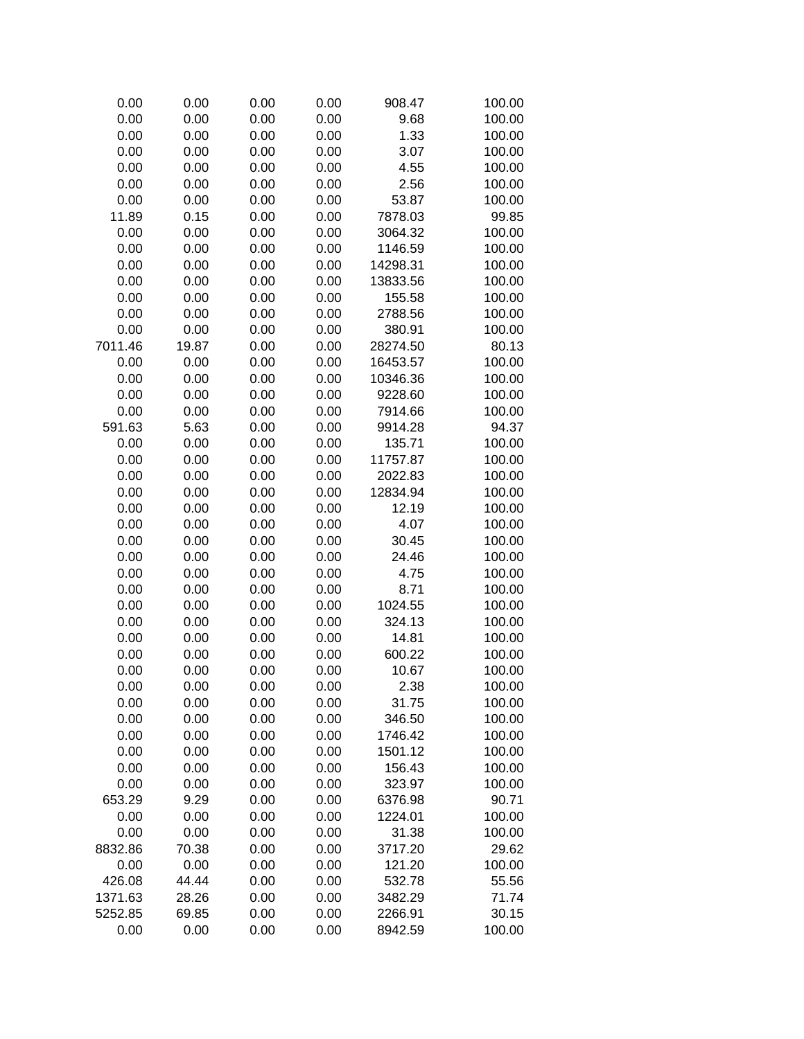| 0.00    | 0.00  | 0.00 | 0.00 | 908.47   | 100.00 |
|---------|-------|------|------|----------|--------|
| 0.00    | 0.00  | 0.00 | 0.00 | 9.68     | 100.00 |
| 0.00    | 0.00  | 0.00 | 0.00 | 1.33     | 100.00 |
| 0.00    | 0.00  | 0.00 | 0.00 | 3.07     | 100.00 |
| 0.00    | 0.00  | 0.00 | 0.00 | 4.55     | 100.00 |
| 0.00    | 0.00  | 0.00 | 0.00 | 2.56     | 100.00 |
| 0.00    | 0.00  | 0.00 | 0.00 | 53.87    | 100.00 |
| 11.89   | 0.15  | 0.00 | 0.00 | 7878.03  | 99.85  |
| 0.00    | 0.00  | 0.00 | 0.00 | 3064.32  | 100.00 |
| 0.00    | 0.00  | 0.00 | 0.00 | 1146.59  | 100.00 |
| 0.00    | 0.00  | 0.00 | 0.00 | 14298.31 | 100.00 |
| 0.00    | 0.00  | 0.00 | 0.00 | 13833.56 | 100.00 |
| 0.00    | 0.00  | 0.00 | 0.00 | 155.58   | 100.00 |
| 0.00    | 0.00  | 0.00 | 0.00 | 2788.56  | 100.00 |
| 0.00    | 0.00  | 0.00 | 0.00 | 380.91   | 100.00 |
| 7011.46 | 19.87 | 0.00 | 0.00 | 28274.50 | 80.13  |
| 0.00    | 0.00  | 0.00 | 0.00 | 16453.57 | 100.00 |
| 0.00    | 0.00  | 0.00 | 0.00 | 10346.36 | 100.00 |
| 0.00    | 0.00  |      | 0.00 | 9228.60  | 100.00 |
|         |       | 0.00 |      |          |        |
| 0.00    | 0.00  | 0.00 | 0.00 | 7914.66  | 100.00 |
| 591.63  | 5.63  | 0.00 | 0.00 | 9914.28  | 94.37  |
| 0.00    | 0.00  | 0.00 | 0.00 | 135.71   | 100.00 |
| 0.00    | 0.00  | 0.00 | 0.00 | 11757.87 | 100.00 |
| 0.00    | 0.00  | 0.00 | 0.00 | 2022.83  | 100.00 |
| 0.00    | 0.00  | 0.00 | 0.00 | 12834.94 | 100.00 |
| 0.00    | 0.00  | 0.00 | 0.00 | 12.19    | 100.00 |
| 0.00    | 0.00  | 0.00 | 0.00 | 4.07     | 100.00 |
| 0.00    | 0.00  | 0.00 | 0.00 | 30.45    | 100.00 |
| 0.00    | 0.00  | 0.00 | 0.00 | 24.46    | 100.00 |
| 0.00    | 0.00  | 0.00 | 0.00 | 4.75     | 100.00 |
| 0.00    | 0.00  | 0.00 | 0.00 | 8.71     | 100.00 |
| 0.00    | 0.00  | 0.00 | 0.00 | 1024.55  | 100.00 |
| 0.00    | 0.00  | 0.00 | 0.00 | 324.13   | 100.00 |
| 0.00    | 0.00  | 0.00 | 0.00 | 14.81    | 100.00 |
| 0.00    | 0.00  | 0.00 | 0.00 | 600.22   | 100.00 |
| 0.00    | 0.00  | 0.00 | 0.00 | 10.67    | 100.00 |
| 0.00    | 0.00  | 0.00 | 0.00 | 2.38     | 100.00 |
| 0.00    | 0.00  | 0.00 | 0.00 | 31.75    | 100.00 |
| 0.00    | 0.00  | 0.00 | 0.00 | 346.50   | 100.00 |
| 0.00    | 0.00  | 0.00 | 0.00 | 1746.42  | 100.00 |
| 0.00    | 0.00  | 0.00 | 0.00 | 1501.12  | 100.00 |
| 0.00    | 0.00  | 0.00 | 0.00 | 156.43   | 100.00 |
| 0.00    | 0.00  | 0.00 | 0.00 | 323.97   | 100.00 |
| 653.29  | 9.29  | 0.00 | 0.00 | 6376.98  | 90.71  |
| 0.00    | 0.00  | 0.00 | 0.00 | 1224.01  | 100.00 |
| 0.00    | 0.00  | 0.00 | 0.00 | 31.38    | 100.00 |
| 8832.86 | 70.38 | 0.00 | 0.00 | 3717.20  | 29.62  |
| 0.00    | 0.00  | 0.00 | 0.00 | 121.20   | 100.00 |
| 426.08  | 44.44 | 0.00 | 0.00 | 532.78   | 55.56  |
| 1371.63 | 28.26 | 0.00 | 0.00 | 3482.29  | 71.74  |
| 5252.85 | 69.85 | 0.00 | 0.00 | 2266.91  | 30.15  |
| 0.00    | 0.00  |      |      |          | 100.00 |
|         |       | 0.00 | 0.00 | 8942.59  |        |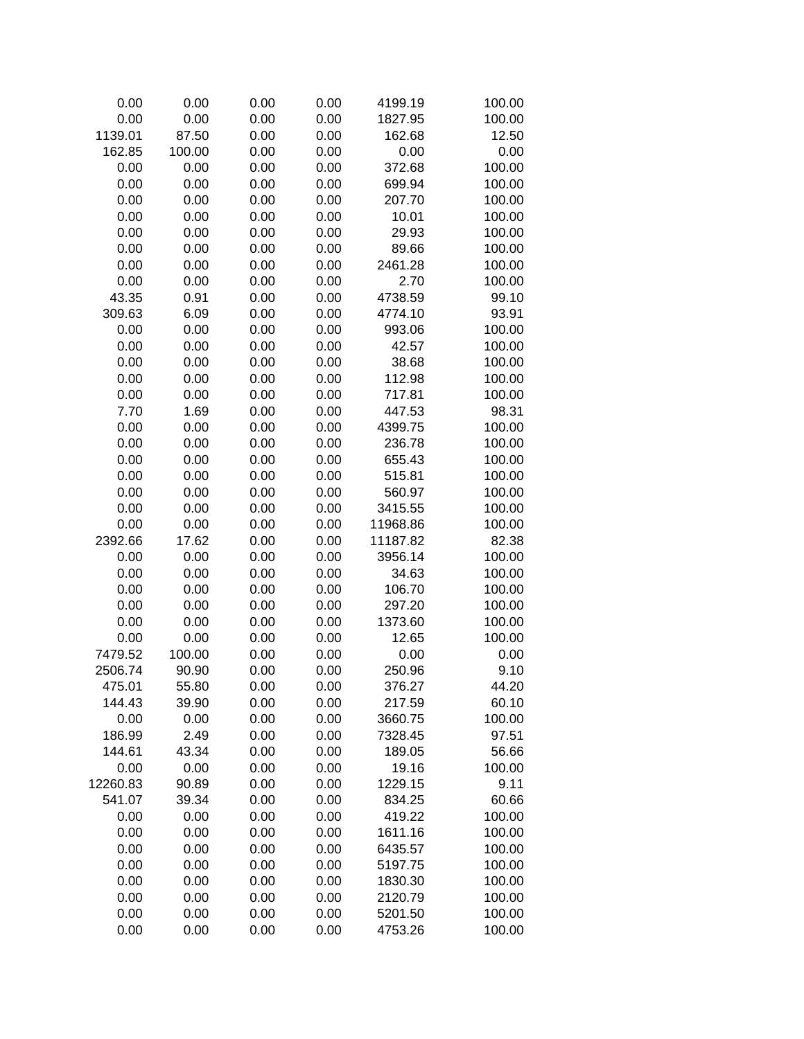| 0.00     | 0.00   | 0.00 | 0.00 | 4199.19  | 100.00 |
|----------|--------|------|------|----------|--------|
| 0.00     | 0.00   | 0.00 | 0.00 | 1827.95  | 100.00 |
| 1139.01  | 87.50  | 0.00 | 0.00 | 162.68   | 12.50  |
| 162.85   | 100.00 | 0.00 | 0.00 | 0.00     | 0.00   |
| 0.00     | 0.00   | 0.00 | 0.00 | 372.68   | 100.00 |
| 0.00     | 0.00   | 0.00 | 0.00 | 699.94   | 100.00 |
| 0.00     | 0.00   | 0.00 | 0.00 | 207.70   | 100.00 |
| 0.00     | 0.00   | 0.00 | 0.00 | 10.01    | 100.00 |
| 0.00     | 0.00   | 0.00 | 0.00 | 29.93    | 100.00 |
| 0.00     | 0.00   | 0.00 | 0.00 | 89.66    | 100.00 |
| 0.00     | 0.00   | 0.00 | 0.00 | 2461.28  | 100.00 |
| 0.00     | 0.00   | 0.00 | 0.00 | 2.70     | 100.00 |
| 43.35    | 0.91   | 0.00 | 0.00 | 4738.59  | 99.10  |
| 309.63   | 6.09   | 0.00 | 0.00 | 4774.10  | 93.91  |
| 0.00     | 0.00   | 0.00 | 0.00 | 993.06   | 100.00 |
| 0.00     | 0.00   | 0.00 | 0.00 | 42.57    | 100.00 |
| 0.00     | 0.00   | 0.00 | 0.00 | 38.68    | 100.00 |
| 0.00     | 0.00   | 0.00 | 0.00 | 112.98   | 100.00 |
| 0.00     | 0.00   | 0.00 | 0.00 | 717.81   | 100.00 |
| 7.70     | 1.69   | 0.00 | 0.00 | 447.53   | 98.31  |
| 0.00     | 0.00   | 0.00 | 0.00 | 4399.75  | 100.00 |
| 0.00     | 0.00   | 0.00 | 0.00 | 236.78   | 100.00 |
| 0.00     | 0.00   | 0.00 | 0.00 | 655.43   | 100.00 |
| 0.00     | 0.00   | 0.00 | 0.00 | 515.81   | 100.00 |
| 0.00     | 0.00   | 0.00 | 0.00 | 560.97   | 100.00 |
| 0.00     | 0.00   | 0.00 | 0.00 | 3415.55  | 100.00 |
| 0.00     | 0.00   | 0.00 | 0.00 | 11968.86 | 100.00 |
| 2392.66  | 17.62  | 0.00 | 0.00 | 11187.82 | 82.38  |
| 0.00     | 0.00   | 0.00 | 0.00 | 3956.14  | 100.00 |
| 0.00     | 0.00   | 0.00 | 0.00 | 34.63    | 100.00 |
| 0.00     | 0.00   | 0.00 | 0.00 | 106.70   | 100.00 |
| 0.00     | 0.00   | 0.00 | 0.00 | 297.20   | 100.00 |
| 0.00     | 0.00   | 0.00 | 0.00 | 1373.60  | 100.00 |
| 0.00     | 0.00   | 0.00 | 0.00 | 12.65    | 100.00 |
| 7479.52  | 100.00 | 0.00 | 0.00 | 0.00     | 0.00   |
| 2506.74  | 90.90  | 0.00 | 0.00 | 250.96   | 9.10   |
| 475.01   | 55.80  | 0.00 | 0.00 | 376.27   | 44.20  |
| 144.43   | 39.90  | 0.00 | 0.00 | 217.59   | 60.10  |
| 0.00     | 0.00   | 0.00 | 0.00 | 3660.75  | 100.00 |
| 186.99   | 2.49   | 0.00 | 0.00 | 7328.45  | 97.51  |
| 144.61   | 43.34  | 0.00 | 0.00 | 189.05   | 56.66  |
| 0.00     | 0.00   | 0.00 | 0.00 | 19.16    | 100.00 |
| 12260.83 | 90.89  | 0.00 | 0.00 | 1229.15  | 9.11   |
| 541.07   | 39.34  | 0.00 | 0.00 | 834.25   | 60.66  |
| 0.00     | 0.00   | 0.00 | 0.00 | 419.22   | 100.00 |
| 0.00     | 0.00   | 0.00 | 0.00 | 1611.16  | 100.00 |
| 0.00     | 0.00   | 0.00 | 0.00 | 6435.57  | 100.00 |
| 0.00     | 0.00   | 0.00 | 0.00 | 5197.75  | 100.00 |
| 0.00     | 0.00   | 0.00 | 0.00 | 1830.30  | 100.00 |
| 0.00     | 0.00   | 0.00 | 0.00 | 2120.79  | 100.00 |
| 0.00     | 0.00   | 0.00 | 0.00 | 5201.50  | 100.00 |
| 0.00     | 0.00   | 0.00 | 0.00 | 4753.26  | 100.00 |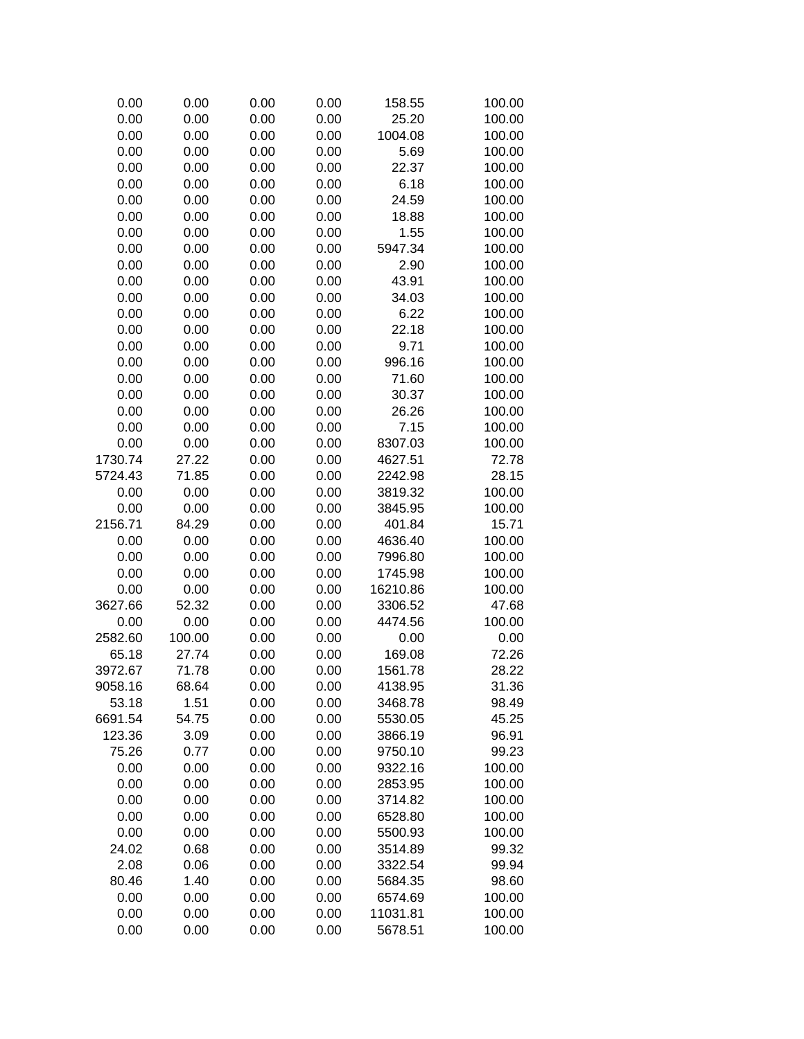| 0.00    | 0.00   | 0.00 | 0.00 | 158.55   | 100.00 |
|---------|--------|------|------|----------|--------|
| 0.00    | 0.00   | 0.00 | 0.00 | 25.20    | 100.00 |
| 0.00    | 0.00   | 0.00 | 0.00 | 1004.08  | 100.00 |
| 0.00    | 0.00   | 0.00 | 0.00 | 5.69     | 100.00 |
| 0.00    | 0.00   | 0.00 | 0.00 | 22.37    | 100.00 |
| 0.00    | 0.00   | 0.00 | 0.00 | 6.18     | 100.00 |
| 0.00    | 0.00   | 0.00 | 0.00 | 24.59    | 100.00 |
| 0.00    | 0.00   | 0.00 | 0.00 | 18.88    | 100.00 |
| 0.00    | 0.00   | 0.00 | 0.00 | 1.55     | 100.00 |
| 0.00    | 0.00   | 0.00 | 0.00 | 5947.34  | 100.00 |
| 0.00    | 0.00   | 0.00 | 0.00 | 2.90     | 100.00 |
| 0.00    | 0.00   | 0.00 | 0.00 | 43.91    | 100.00 |
| 0.00    | 0.00   | 0.00 | 0.00 | 34.03    | 100.00 |
| 0.00    | 0.00   | 0.00 | 0.00 | 6.22     | 100.00 |
| 0.00    | 0.00   | 0.00 | 0.00 | 22.18    | 100.00 |
| 0.00    | 0.00   | 0.00 | 0.00 | 9.71     | 100.00 |
| 0.00    | 0.00   | 0.00 | 0.00 | 996.16   | 100.00 |
| 0.00    | 0.00   | 0.00 | 0.00 | 71.60    | 100.00 |
| 0.00    | 0.00   | 0.00 | 0.00 | 30.37    | 100.00 |
| 0.00    | 0.00   | 0.00 | 0.00 | 26.26    | 100.00 |
| 0.00    | 0.00   | 0.00 | 0.00 | 7.15     | 100.00 |
| 0.00    | 0.00   | 0.00 | 0.00 | 8307.03  | 100.00 |
| 1730.74 | 27.22  | 0.00 | 0.00 | 4627.51  | 72.78  |
| 5724.43 | 71.85  | 0.00 | 0.00 | 2242.98  | 28.15  |
| 0.00    | 0.00   | 0.00 | 0.00 | 3819.32  | 100.00 |
| 0.00    | 0.00   | 0.00 | 0.00 | 3845.95  | 100.00 |
| 2156.71 | 84.29  |      |      | 401.84   | 15.71  |
|         |        | 0.00 | 0.00 |          |        |
| 0.00    | 0.00   | 0.00 | 0.00 | 4636.40  | 100.00 |
| 0.00    | 0.00   | 0.00 | 0.00 | 7996.80  | 100.00 |
| 0.00    | 0.00   | 0.00 | 0.00 | 1745.98  | 100.00 |
| 0.00    | 0.00   | 0.00 | 0.00 | 16210.86 | 100.00 |
| 3627.66 | 52.32  | 0.00 | 0.00 | 3306.52  | 47.68  |
| 0.00    | 0.00   | 0.00 | 0.00 | 4474.56  | 100.00 |
| 2582.60 | 100.00 | 0.00 | 0.00 | 0.00     | 0.00   |
| 65.18   | 27.74  | 0.00 | 0.00 | 169.08   | 72.26  |
| 3972.67 | 71.78  | 0.00 | 0.00 | 1561.78  | 28.22  |
| 9058.16 | 68.64  | 0.00 | 0.00 | 4138.95  | 31.36  |
| 53.18   | 1.51   | 0.00 | 0.00 | 3468.78  | 98.49  |
| 6691.54 | 54.75  | 0.00 | 0.00 | 5530.05  | 45.25  |
| 123.36  | 3.09   | 0.00 | 0.00 | 3866.19  | 96.91  |
| 75.26   | 0.77   | 0.00 | 0.00 | 9750.10  | 99.23  |
| 0.00    | 0.00   | 0.00 | 0.00 | 9322.16  | 100.00 |
| 0.00    | 0.00   | 0.00 | 0.00 | 2853.95  | 100.00 |
| 0.00    | 0.00   | 0.00 | 0.00 | 3714.82  | 100.00 |
| 0.00    | 0.00   | 0.00 | 0.00 | 6528.80  | 100.00 |
| 0.00    | 0.00   | 0.00 | 0.00 | 5500.93  | 100.00 |
| 24.02   | 0.68   | 0.00 | 0.00 | 3514.89  | 99.32  |
| 2.08    | 0.06   | 0.00 | 0.00 | 3322.54  | 99.94  |
| 80.46   | 1.40   | 0.00 | 0.00 | 5684.35  | 98.60  |
| 0.00    | 0.00   | 0.00 | 0.00 | 6574.69  | 100.00 |
| 0.00    | 0.00   | 0.00 | 0.00 | 11031.81 | 100.00 |
| 0.00    | 0.00   | 0.00 | 0.00 | 5678.51  | 100.00 |
|         |        |      |      |          |        |